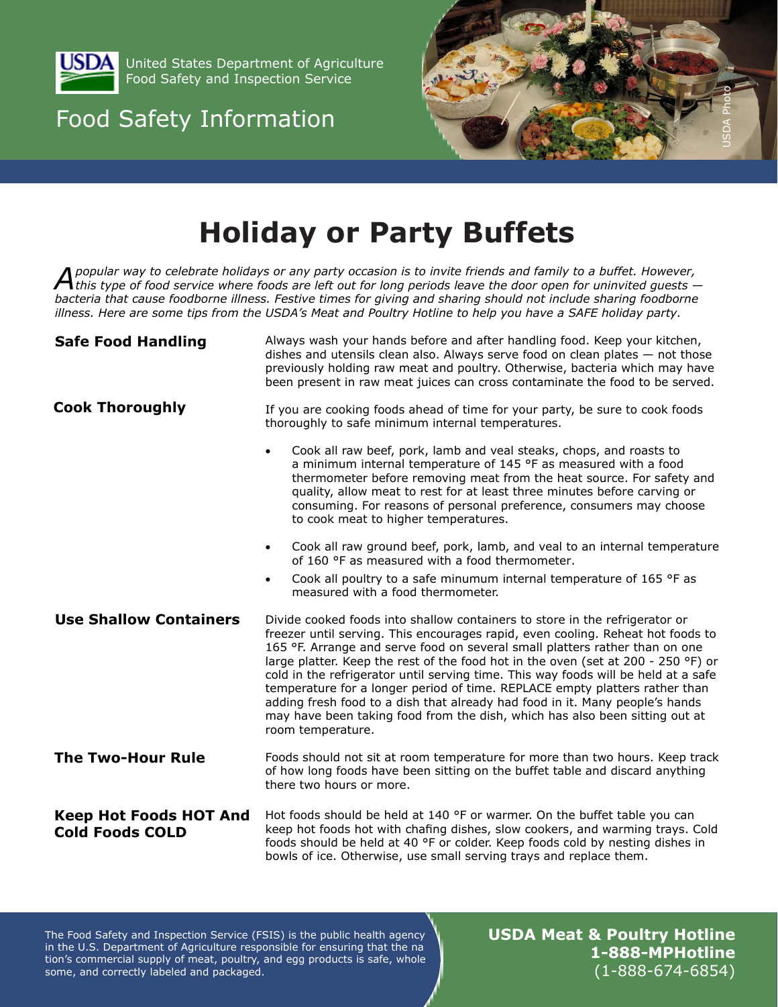

United States Department of Agriculture Food Safety and Inspection Service

### Food Safety Information



## **Holiday or Party Buffets**

 $\bigwedge$  popular way to celebrate holidays or any party occasion is to invite friends and family to a buffet. However,<br>A this type of food service where foods are left out for long periods leave the door open for uninvited *bacteria that cause foodborne illness. Festive times for giving and sharing should not include sharing foodborne illness. Here are some tips from the USDA's Meat and Poultry Hotline to help you have a SAFE holiday party.* 

| <b>Safe Food Handling</b>                               | Always wash your hands before and after handling food. Keep your kitchen,<br>dishes and utensils clean also. Always serve food on clean plates $-$ not those<br>previously holding raw meat and poultry. Otherwise, bacteria which may have<br>been present in raw meat juices can cross contaminate the food to be served.                                                                                                                                                                                                                                                                                                                                                                 |
|---------------------------------------------------------|---------------------------------------------------------------------------------------------------------------------------------------------------------------------------------------------------------------------------------------------------------------------------------------------------------------------------------------------------------------------------------------------------------------------------------------------------------------------------------------------------------------------------------------------------------------------------------------------------------------------------------------------------------------------------------------------|
| <b>Cook Thoroughly</b>                                  | If you are cooking foods ahead of time for your party, be sure to cook foods<br>thoroughly to safe minimum internal temperatures.                                                                                                                                                                                                                                                                                                                                                                                                                                                                                                                                                           |
|                                                         | Cook all raw beef, pork, lamb and veal steaks, chops, and roasts to<br>$\bullet$<br>a minimum internal temperature of 145 °F as measured with a food<br>thermometer before removing meat from the heat source. For safety and<br>quality, allow meat to rest for at least three minutes before carving or<br>consuming. For reasons of personal preference, consumers may choose<br>to cook meat to higher temperatures.                                                                                                                                                                                                                                                                    |
|                                                         | Cook all raw ground beef, pork, lamb, and veal to an internal temperature<br>$\bullet$<br>of 160 °F as measured with a food thermometer.                                                                                                                                                                                                                                                                                                                                                                                                                                                                                                                                                    |
|                                                         | Cook all poultry to a safe minumum internal temperature of 165 °F as<br>$\bullet$<br>measured with a food thermometer.                                                                                                                                                                                                                                                                                                                                                                                                                                                                                                                                                                      |
| <b>Use Shallow Containers</b>                           | Divide cooked foods into shallow containers to store in the refrigerator or<br>freezer until serving. This encourages rapid, even cooling. Reheat hot foods to<br>165 °F. Arrange and serve food on several small platters rather than on one<br>large platter. Keep the rest of the food hot in the oven (set at 200 - 250 °F) or<br>cold in the refrigerator until serving time. This way foods will be held at a safe<br>temperature for a longer period of time. REPLACE empty platters rather than<br>adding fresh food to a dish that already had food in it. Many people's hands<br>may have been taking food from the dish, which has also been sitting out at<br>room temperature. |
| <b>The Two-Hour Rule</b>                                | Foods should not sit at room temperature for more than two hours. Keep track<br>of how long foods have been sitting on the buffet table and discard anything<br>there two hours or more.                                                                                                                                                                                                                                                                                                                                                                                                                                                                                                    |
| <b>Keep Hot Foods HOT And</b><br><b>Cold Foods COLD</b> | Hot foods should be held at 140 °F or warmer. On the buffet table you can<br>keep hot foods hot with chafing dishes, slow cookers, and warming trays. Cold<br>foods should be held at 40 °F or colder. Keep foods cold by nesting dishes in<br>bowls of ice. Otherwise, use small serving trays and replace them.                                                                                                                                                                                                                                                                                                                                                                           |

in the U.S. Department of Agriculture responsible for ensuring that the na The Food Safety and Inspection Service (FSIS) is the public health agency in the U.S. Department of Agriculture responsible for ensuring that the na<br>tion's commercial supply of meat, poultry, and egg products is safe, whole<br>some, and correctly labeled and packaged. **USDA Meat & Poultry Hotline 1-888-MPHotline**   $(1 - 888 - 674 - 6854)$